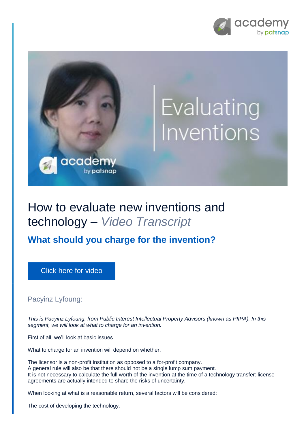



## How to evaluate new inventions and technology – *Video Transcript*

## **What should you charge for the invention?**

[Click here for video](https://academy.patsnap.com/courses/5aa90c52a8103300142e12e2/units/5c7001dbc5b87f21d8a5ba3d#module-2)

## Pacyinz Lyfoung:

*This is Pacyinz Lyfoung, from Public Interest Intellectual Property Advisors (known as PIIPA). In this segment, we will look at what to charge for an invention.*

First of all, we'll look at basic issues.

What to charge for an invention will depend on whether:

The licensor is a non-profit institution as opposed to a for-profit company. A general rule will also be that there should not be a single lump sum payment. It is not necessary to calculate the full worth of the invention at the time of a technology transfer: license agreements are actually intended to share the risks of uncertainty.

When looking at what is a reasonable return, several factors will be considered:

The cost of developing the technology.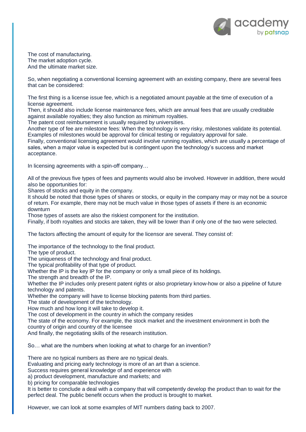

The cost of manufacturing. The market adoption cycle. And the ultimate market size.

So, when negotiating a conventional licensing agreement with an existing company, there are several fees that can be considered:

The first thing is a license issue fee, which is a negotiated amount payable at the time of execution of a license agreement.

Then, it should also include license maintenance fees, which are annual fees that are usually creditable against available royalties; they also function as minimum royalties.

The patent cost reimbursement is usually required by universities.

Another type of fee are milestone fees: When the technology is very risky, milestones validate its potential. Examples of milestones would be approval for clinical testing or regulatory approval for sale.

Finally, conventional licensing agreement would involve running royalties, which are usually a percentage of sales, when a major value is expected but is contingent upon the technology's success and market acceptance.

In licensing agreements with a spin-off company…

All of the previous five types of fees and payments would also be involved. However in addition, there would also be opportunities for:

Shares of stocks and equity in the company.

It should be noted that those types of shares or stocks, or equity in the company may or may not be a source of return. For example, there may not be much value in those types of assets if there is an economic downturn

Those types of assets are also the riskiest component for the institution.

Finally, if both royalties and stocks are taken, they will be lower than if only one of the two were selected.

The factors affecting the amount of equity for the licensor are several. They consist of:

The importance of the technology to the final product.

The type of product.

The uniqueness of the technology and final product.

The typical profitability of that type of product.

Whether the IP is the key IP for the company or only a small piece of its holdings.

The strength and breadth of the IP.

Whether the IP includes only present patent rights or also proprietary know-how or also a pipeline of future technology and patents.

Whether the company will have to license blocking patents from third parties.

The state of development of the technology.

How much and how long it will take to develop it.

The cost of development in the country in which the company resides

The state of the economy. For example, the stock market and the investment environment in both the country of origin and country of the licensee

And finally, the negotiating skills of the research institution.

So… what are the numbers when looking at what to charge for an invention?

There are no typical numbers as there are no typical deals.

Evaluating and pricing early technology is more of an art than a science.

Success requires general knowledge of and experience with

a) product development, manufacture and markets; and

b) pricing for comparable technologies

It is better to conclude a deal with a company that will competently develop the product than to wait for the perfect deal. The public benefit occurs when the product is brought to market.

However, we can look at some examples of MIT numbers dating back to 2007.